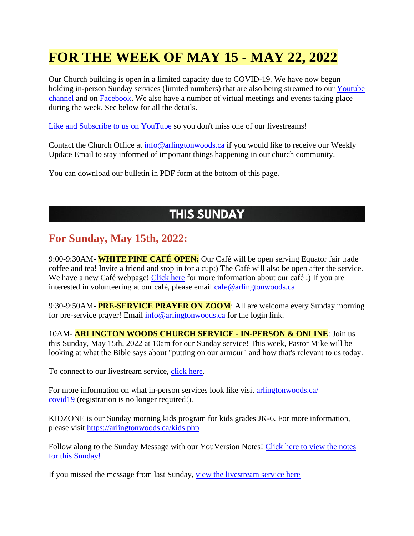# **FOR THE WEEK OF MAY 15 - MAY 22, 2022**

Our Church building is open in a limited capacity due to COVID-19. We have now begun holding in-person Sunday services (limited numbers) that are also being streamed to our [Youtube](https://www.youtube.com/channel/UCN0jh5__-PL-Mpw_3v-4lMg)  [channel](https://www.youtube.com/channel/UCN0jh5__-PL-Mpw_3v-4lMg) and on [Facebook.](https://www.facebook.com/ArlingtonWoodsChurch) We also have a number of virtual meetings and events taking place during the week. See below for all the details.

[Like and Subscribe to us on YouTube](http://www.youtube.com/ArlingtonWoodsChurch) so you don't miss one of our livestreams!

Contact the Church Office at  $\frac{info@{\text{arlington}}{woods{\text{.ca}}}$  if you would like to receive our Weekly Update Email to stay informed of important things happening in our church community.

You can download our bulletin in PDF form at the bottom of this page.

#### **THIS SUNDAY**

#### **For Sunday, May 15th, 2022:**

9:00-9:30AM- **WHITE PINE CAFÉ OPEN:** Our Café will be open serving Equator fair trade coffee and tea! Invite a friend and stop in for a cup:) The Café will also be open after the service. We have a new Café webpage! [Click here](https://arlingtonwoods.ca/cafe.php) for more information about our café :) If you are interested in volunteering at our café, please email [cafe@arlingtonwoods.ca.](mailto:cafe@arlingtonwoods.ca)

9:30-9:50AM- **PRE-SERVICE PRAYER ON ZOOM**: All are welcome every Sunday morning for pre-service prayer! Email  $\frac{info@arlingtonwoods.ca}{}$  for the login link.

10AM- **ARLINGTON WOODS CHURCH SERVICE - IN-PERSON & ONLINE**: Join us this Sunday, May 15th, 2022 at 10am for our Sunday service! This week, Pastor Mike will be looking at what the Bible says about "putting on our armour" and how that's relevant to us today.

To connect to our livestream service, [click here.](https://www.youtube.com/channel/UCN0jh5__-PL-Mpw_3v-4lMg)

For more information on what in-person services look like visit [arlingtonwoods.ca/](https://arlingtonwoods.ca/covid19.php)  [covid19](https://arlingtonwoods.ca/covid19.php) (registration is no longer required!).

KIDZONE is our Sunday morning kids program for kids grades JK-6. For more information, please visit <https://arlingtonwoods.ca/kids.php>

Follow along to the Sunday Message with our YouVersion Notes! Click here to view the notes [for this Sunday!](http://bible.com/events/48890526)

If you missed the message from last Sunday, [view the livestream service here](https://www.youtube.com/channel/UCN0jh5__-PL-Mpw_3v-4lMg)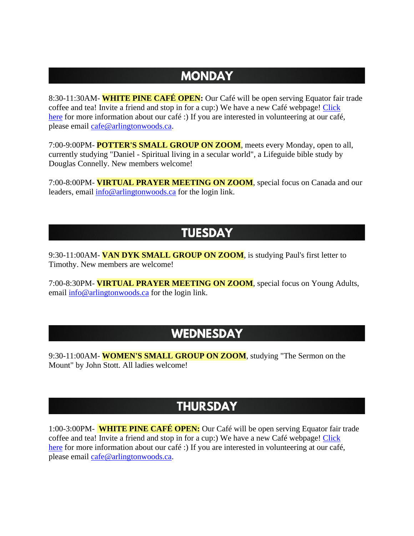### **MONDAY**

8:30-11:30AM- **WHITE PINE CAFÉ OPEN:** Our Café will be open serving Equator fair trade coffee and tea! Invite a friend and stop in for a cup:) We have a new Café webpage! [Click](https://arlingtonwoods.ca/cafe.php)  [here](https://arlingtonwoods.ca/cafe.php) for more information about our café :) If you are interested in volunteering at our café, please email [cafe@arlingtonwoods.ca.](mailto:cafe@arlingtonwoods.ca)

7:00-9:00PM- **POTTER'S SMALL GROUP ON ZOOM**, meets every Monday, open to all, currently studying "Daniel - Spiritual living in a secular world", a Lifeguide bible study by Douglas Connelly. New members welcome!

7:00-8:00PM- **VIRTUAL PRAYER MEETING ON ZOOM**, special focus on Canada and our leaders, email [info@arlingtonwoods.ca](mailto:info@arlingtonwoods.ca) for the login link.

#### **TUESDAY**

9:30-11:00AM- **VAN DYK SMALL GROUP ON ZOOM**, is studying Paul's first letter to Timothy. New members are welcome!

7:00-8:30PM- **VIRTUAL PRAYER MEETING ON ZOOM**, special focus on Young Adults, email [info@arlingtonwoods.ca](mailto:info@arlingtonwoods.ca) for the login link.

#### **WEDNESDAY**

9:30-11:00AM- **WOMEN'S SMALL GROUP ON ZOOM**, studying "The Sermon on the Mount" by John Stott. All ladies welcome!

## **THURSDAY**

1:00-3:00PM- **WHITE PINE CAFÉ OPEN:** Our Café will be open serving Equator fair trade coffee and tea! Invite a friend and stop in for a cup:) We have a new Café webpage! [Click](https://arlingtonwoods.ca/cafe.php)  [here](https://arlingtonwoods.ca/cafe.php) for more information about our café :) If you are interested in volunteering at our café, please email [cafe@arlingtonwoods.ca.](mailto:cafe@arlingtonwoods.ca)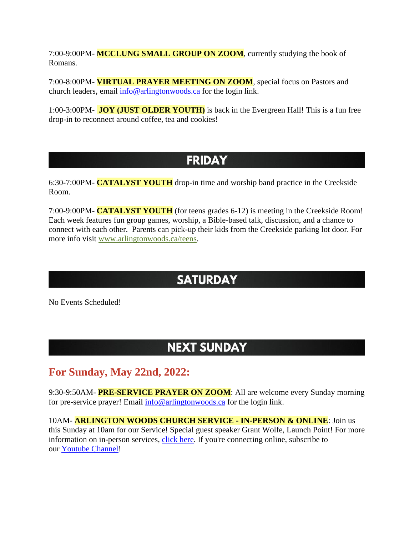7:00-9:00PM- **MCCLUNG SMALL GROUP ON ZOOM**, currently studying the book of Romans.

7:00-8:00PM- **VIRTUAL PRAYER MEETING ON ZOOM**, special focus on Pastors and church leaders, email [info@arlingtonwoods.ca](mailto:info@arlingtonwoods.ca) for the login link.

1:00-3:00PM- **JOY (JUST OLDER YOUTH)** is back in the Evergreen Hall! This is a fun free drop-in to reconnect around coffee, tea and cookies!

#### **FRIDAY**

6:30-7:00PM- **CATALYST YOUTH** drop-in time and worship band practice in the Creekside Room.

7:00-9:00PM- **CATALYST YOUTH** (for teens grades 6-12) is meeting in the Creekside Room! Each week features fun group games, worship, a Bible-based talk, discussion, and a chance to connect with each other. Parents can pick-up their kids from the Creekside parking lot door. For more info visit [www.arlingtonwoods.ca/teens.](https://arlingtonwoods.ca/teens.php)

# **SATURDAY**

No Events Scheduled!

### **NEXT SUNDAY**

#### **For Sunday, May 22nd, 2022:**

9:30-9:50AM- **PRE-SERVICE PRAYER ON ZOOM**: All are welcome every Sunday morning for pre-service prayer! Email  $\frac{info@arlingtonwoods.ca}{}$  for the login link.

10AM- **ARLINGTON WOODS CHURCH SERVICE - IN-PERSON & ONLINE**: Join us this Sunday at 10am for our Service! Special guest speaker Grant Wolfe, Launch Point! For more information on in-person services, [click here.](https://arlingtonwoods.ca/covid19.php) If you're connecting online, subscribe to our [Youtube Channel!](http://www.youtube.com/ArlingtonWoodsChurch)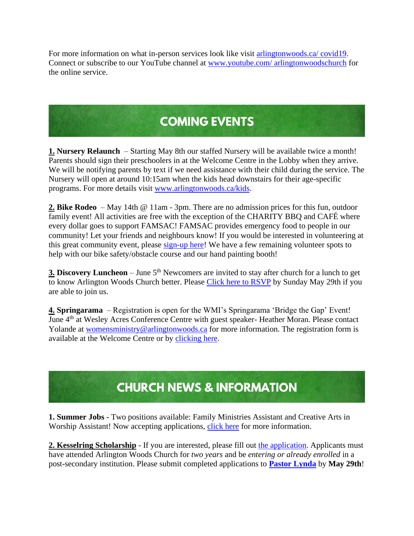For more information on what in-person services look like visit [arlingtonwoods.ca/ covid19.](https://arlingtonwoods.ca/covid19.php) Connect or subscribe to our YouTube channel at www.youtube.com/ [arlingtonwoodschurch](https://www.youtube.com/arlingtonwoodschurch?fbclid=IwAR1K03d9v3OMa1Bqo2xqkwUEbYKvPn60o0X0P74EyVl8ju-MWi7a3_oXTqY) for the online service.

# **COMING EVENTS**

**1. Nursery Relaunch** – Starting May 8th our staffed Nursery will be available twice a month! Parents should sign their preschoolers in at the Welcome Centre in the Lobby when they arrive. We will be notifying parents by text if we need assistance with their child during the service. The Nursery will open at around 10:15am when the kids head downstairs for their age-specific programs. For more details visit [www.arlingtonwoods.ca/kids.](http://www.arlingtonwoods.ca/kids)

**2. Bike Rodeo** – May 14th @ 11am - 3pm. There are no admission prices for this fun, outdoor family event! All activities are free with the exception of the CHARITY BBQ and CAFÉ where every dollar goes to support FAMSAC! FAMSAC provides emergency food to people in our community! Let your friends and neighbours know! If you would be interested in volunteering at this great community event, please [sign-up here!](https://docs.google.com/document/d/1q-WA12GhQEF_HnTERsaFdGu8AN1uFkrHtB1mNs5lW_s/edit) We have a few remaining volunteer spots to help with our bike safety/obstacle course and our hand painting booth!

**3. Discovery Luncheon** – June 5<sup>th</sup> Newcomers are invited to stay after church for a lunch to get to know Arlington Woods Church better. Please [Click here to RSVP](http://www.arlingtonwoods.ca/lunch) by Sunday May 29th if you are able to join us.

**4. Springarama** – Registration is open for the WMI's Springarama 'Bridge the Gap' Event! June 4<sup>th</sup> at Wesley Acres Conference Centre with guest speaker- Heather Moran. Please contact Yolande at [womensministry@arlingtonwoods.ca](mailto:womensministry@arlingtonwoods.ca) for more information. The registration form is available at the Welcome Centre or by [clicking here.](https://wmi-fmcic.us4.list-manage.com/track/click?u=036d3650c8de6feee0f5b8dab&id=2a9d911d60&e=fd23aa529d)

# **CHURCH NEWS & INFORMATION**

**1. Summer Jobs -** Two positions available: Family Ministries Assistant and Creative Arts in Worship Assistant! Now accepting applications, [click here](https://arlingtonwoods.ca/employment.php) for more information.

**2. Kesselring Scholarship** - If you are interested, please fill out [the application.](https://arlingtonwoods.ca/photos/custom/PDF/Patrick%20Kesselring%20Scholarship.pdf) Applicants must have attended Arlington Woods Church for *two years* and be *entering or already enrolled* in a post-secondary institution. Please submit completed applications to **[Pastor Lynda](mailto:lynda@arlingtonwoods.ca)** by **May 29th**!